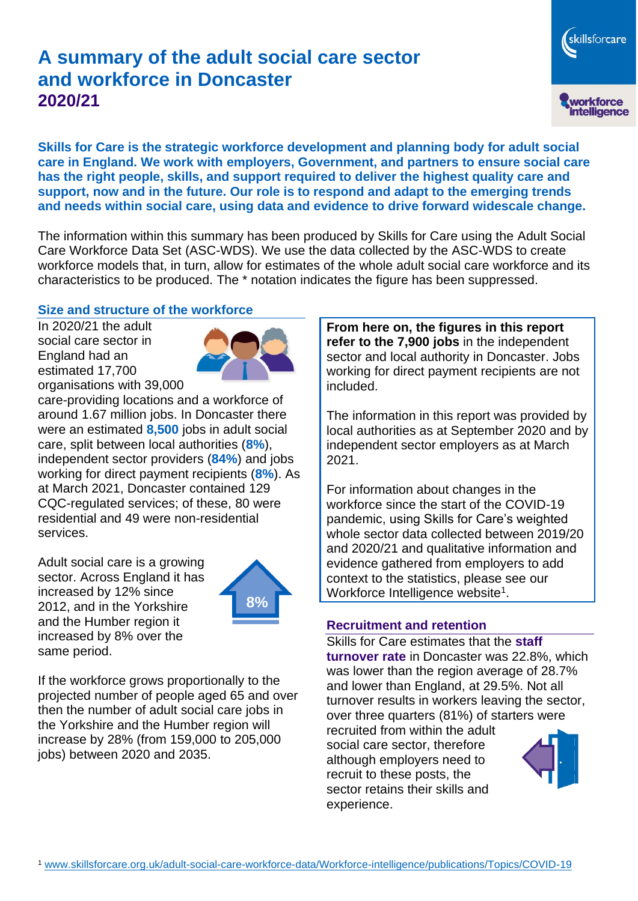# **A summary of the adult social care sector and workforce in Doncaster 2020/21**

workforce<br>intelligence

skillsforcare

**Skills for Care is the strategic workforce development and planning body for adult social care in England. We work with employers, Government, and partners to ensure social care has the right people, skills, and support required to deliver the highest quality care and support, now and in the future. Our role is to respond and adapt to the emerging trends and needs within social care, using data and evidence to drive forward widescale change.**

The information within this summary has been produced by Skills for Care using the Adult Social Care Workforce Data Set (ASC-WDS). We use the data collected by the ASC-WDS to create workforce models that, in turn, allow for estimates of the whole adult social care workforce and its characteristics to be produced. The \* notation indicates the figure has been suppressed.

#### **Size and structure of the workforce**

In 2020/21 the adult social care sector in England had an estimated 17,700 organisations with 39,000



care-providing locations and a workforce of around 1.67 million jobs. In Doncaster there were an estimated **8,500** jobs in adult social care, split between local authorities (**8%**), independent sector providers (**84%**) and jobs working for direct payment recipients (**8%**). As at March 2021, Doncaster contained 129 CQC-regulated services; of these, 80 were residential and 49 were non-residential services.

Adult social care is a growing sector. Across England it has increased by 12% since 2012, and in the Yorkshire and the Humber region it increased by 8% over the same period.



If the workforce grows proportionally to the projected number of people aged 65 and over then the number of adult social care jobs in the Yorkshire and the Humber region will increase by 28% (from 159,000 to 205,000 jobs) between 2020 and 2035.

**From here on, the figures in this report refer to the 7,900 jobs** in the independent sector and local authority in Doncaster. Jobs working for direct payment recipients are not included.

The information in this report was provided by local authorities as at September 2020 and by independent sector employers as at March 2021.

For information about changes in the workforce since the start of the COVID-19 pandemic, using Skills for Care's weighted whole sector data collected between 2019/20 and 2020/21 and qualitative information and evidence gathered from employers to add context to the statistics, please see our Workforce Intelligence website<sup>1</sup>.

#### **Recruitment and retention**

Skills for Care estimates that the **staff turnover rate** in Doncaster was 22.8%, which was lower than the region average of 28.7% and lower than England, at 29.5%. Not all turnover results in workers leaving the sector, over three quarters (81%) of starters were

recruited from within the adult social care sector, therefore although employers need to recruit to these posts, the sector retains their skills and experience.

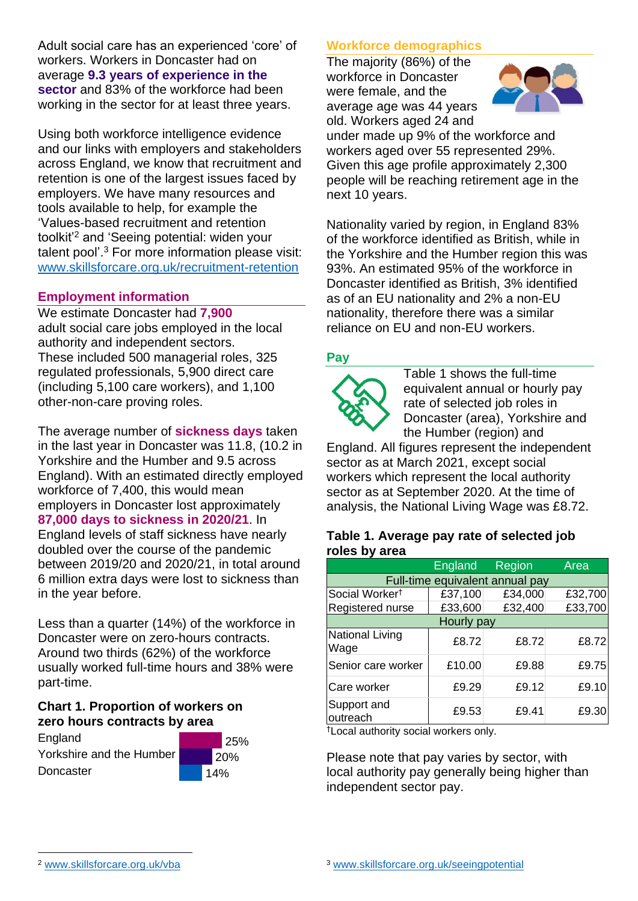Adult social care has an experienced 'core' of workers. Workers in Doncaster had on average **9.3 years of experience in the sector** and 83% of the workforce had been working in the sector for at least three years.

Using both workforce intelligence evidence and our links with employers and stakeholders across England, we know that recruitment and retention is one of the largest issues faced by employers. We have many resources and tools available to help, for example the 'Values-based recruitment and retention toolkit'<sup>2</sup> and 'Seeing potential: widen your talent pool'. <sup>3</sup> For more information please visit: [www.skillsforcare.org.uk/recruitment-retention](http://www.skillsforcare.org.uk/recruitment-retention)

#### **Employment information**

We estimate Doncaster had **7,900** adult social care jobs employed in the local authority and independent sectors. These included 500 managerial roles, 325 regulated professionals, 5,900 direct care (including 5,100 care workers), and 1,100 other-non-care proving roles.

The average number of **sickness days** taken in the last year in Doncaster was 11.8, (10.2 in Yorkshire and the Humber and 9.5 across England). With an estimated directly employed workforce of 7,400, this would mean employers in Doncaster lost approximately **87,000 days to sickness in 2020/21**. In England levels of staff sickness have nearly doubled over the course of the pandemic between 2019/20 and 2020/21, in total around 6 million extra days were lost to sickness than in the year before.

Less than a quarter (14%) of the workforce in Doncaster were on zero-hours contracts. Around two thirds (62%) of the workforce usually worked full-time hours and 38% were part-time.

#### **Chart 1. Proportion of workers on zero hours contracts by area**

England Yorkshire and the Humber **Doncaster** 



### **Workforce demographics**

The majority (86%) of the workforce in Doncaster were female, and the average age was 44 years old. Workers aged 24 and



under made up 9% of the workforce and workers aged over 55 represented 29%. Given this age profile approximately 2,300 people will be reaching retirement age in the next 10 years.

Nationality varied by region, in England 83% of the workforce identified as British, while in the Yorkshire and the Humber region this was 93%. An estimated 95% of the workforce in Doncaster identified as British, 3% identified as of an EU nationality and 2% a non-EU nationality, therefore there was a similar reliance on EU and non-EU workers.

#### **Pay**



Table 1 shows the full-time equivalent annual or hourly pay rate of selected job roles in Doncaster (area), Yorkshire and the Humber (region) and

England. All figures represent the independent sector as at March 2021, except social workers which represent the local authority sector as at September 2020. At the time of analysis, the National Living Wage was £8.72.

#### **Table 1. Average pay rate of selected job roles by area**

|                                 | <b>England</b> | Region  | Area    |
|---------------------------------|----------------|---------|---------|
| Full-time equivalent annual pay |                |         |         |
| Social Worker <sup>t</sup>      | £37,100        | £34,000 | £32,700 |
| Registered nurse                | £33,600        | £32,400 | £33,700 |
| Hourly pay                      |                |         |         |
| National Living<br>Wage         | £8.72          | £8.72   | £8.72   |
| Senior care worker              | £10.00         | £9.88   | £9.75   |
| Care worker                     | £9.29          | £9.12   | £9.10   |
| Support and<br>outreach         | £9.53          | £9.41   | £9.30   |

†Local authority social workers only.

Please note that pay varies by sector, with local authority pay generally being higher than independent sector pay.

[www.skillsforcare.org.uk/vba](http://www.skillsforcare.org.uk/vba)